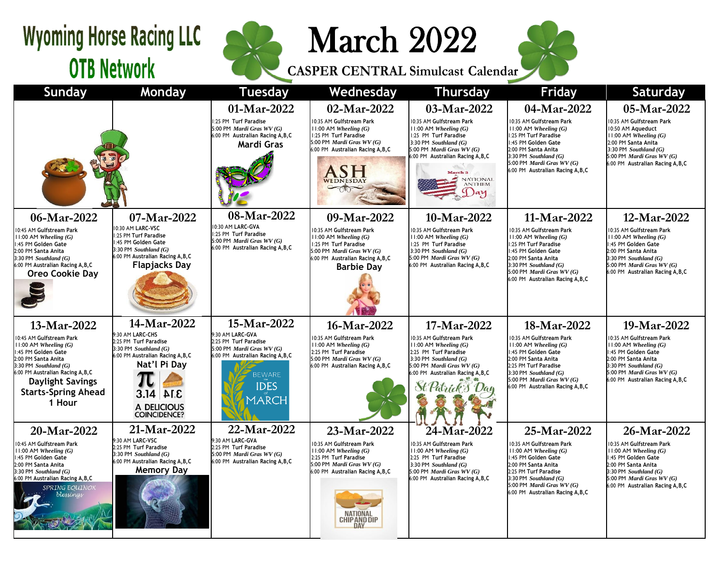## **Wyoming Horse Racing LLC OTB Network**



March 2022

**CASPER CENTRAL Simulcast Calendar**



| <b>Sunday</b>                                                                                                                                                                                                                                        | Monday                                                                                                                                                                            | <b>Tuesday</b>                                                                                                                                                             | Wednesday                                                                                                                                                                                       | <b>Thursday</b>                                                                                                                                                                                                                                  | <b>Friday</b>                                                                                                                                                                                                                            | Saturday                                                                                                                                                                                                          |
|------------------------------------------------------------------------------------------------------------------------------------------------------------------------------------------------------------------------------------------------------|-----------------------------------------------------------------------------------------------------------------------------------------------------------------------------------|----------------------------------------------------------------------------------------------------------------------------------------------------------------------------|-------------------------------------------------------------------------------------------------------------------------------------------------------------------------------------------------|--------------------------------------------------------------------------------------------------------------------------------------------------------------------------------------------------------------------------------------------------|------------------------------------------------------------------------------------------------------------------------------------------------------------------------------------------------------------------------------------------|-------------------------------------------------------------------------------------------------------------------------------------------------------------------------------------------------------------------|
|                                                                                                                                                                                                                                                      |                                                                                                                                                                                   | 01-Mar-2022<br>1:25 PM Turf Paradise<br>5:00 PM Mardi Gras WV (G)<br>6:00 PM Australian Racing A, B, C<br>Mardi Gras                                                       | 02-Mar-2022<br>10:35 AM Gulfstream Park<br>$11:00$ AM Wheeling $(G)$<br>1:25 PM Turf Paradise<br>5:00 PM Mardi Gras WV (G)<br>6:00 PM Australian Racing A, B, C<br>ASH                          | 03-Mar-2022<br>10:35 AM Gulfstream Park<br>$11:00$ AM Wheeling $(G)$<br>1:25 PM Turf Paradise<br>3:30 PM Southland $(G)$<br>5:00 PM Mardi Gras WV (G)<br>6:00 PM Australian Racing A, B, C<br><b>March 3</b><br>NATIONAL<br><b>ANTHEM</b><br>Day | 04-Mar-2022<br>10:35 AM Gulfstream Park<br>$11:00$ AM Wheeling $(G)$<br>1:25 PM Turf Paradise<br>1:45 PM Golden Gate<br>2:00 PM Santa Anita<br>3:30 PM Southland $(G)$<br>5:00 PM Mardi Gras WV (G)<br>6:00 PM Australian Racing A, B, C | 05-Mar-2022<br>10:35 AM Gulfstream Park<br>10:50 AM Aqueduct<br>$11:00$ AM Wheeling $(G)$<br>2:00 PM Santa Anita<br>3:30 PM Southland $(G)$<br>5:00 PM Mardi Gras WV (G)<br>6:00 PM Australian Racing A, B, C     |
| 06-Mar-2022<br>10:45 AM Gulfstream Park<br>$1:00$ AM Wheeling $(G)$<br>:45 PM Golden Gate<br>2:00 PM Santa Anita<br>$3:30$ PM Southland $(G)$<br>6:00 PM Australian Racing A, B, C<br><b>Oreo Cookie Day</b>                                         | 07-Mar-2022<br>10:30 AM LARC-VSC<br>1:25 PM Turf Paradise<br>1:45 PM Golden Gate<br>3:30 PM Southland $(G)$<br>6:00 PM Australian Racing A, B, C<br><b>Flapjacks Day</b>          | 08-Mar-2022<br>0:30 AM LARC-GVA<br>1:25 PM Turf Paradise<br>5:00 PM Mardi Gras WV (G)<br>6:00 PM Australian Racing A, B, C                                                 | 09-Mar-2022<br>10:35 AM Gulfstream Park<br>$11:00$ AM Wheeling $(G)$<br>1:25 PM Turf Paradise<br>5:00 PM Mardi Gras WV (G)<br>6:00 PM Australian Racing A, B, C<br><b>Barbie Dav</b>            | 10-Mar-2022<br>10:35 AM Gulfstream Park<br>$11:00$ AM Wheeling $(G)$<br>1:25 PM Turf Paradise<br>3:30 PM Southland $(G)$<br>5:00 PM Mardi Gras WV (G)<br>6:00 PM Australian Racing A, B, C                                                       | 11-Mar-2022<br>10:35 AM Gulfstream Park<br>$11:00$ AM Wheeling $(G)$<br>1:25 PM Turf Paradise<br>1:45 PM Golden Gate<br>2:00 PM Santa Anita<br>3:30 PM Southland $(G)$<br>5:00 PM Mardi Gras WV (G)<br>6:00 PM Australian Racing A, B, C | 12-Mar-2022<br>10:35 AM Gulfstream Park<br>$11:00$ AM Wheeling $(G)$<br>1:45 PM Golden Gate<br>2:00 PM Santa Anita<br>3:30 PM Southland $(G)$<br>5:00 PM Mardi Gras WV (G)<br>6:00 PM Australian Racing A, B, C   |
| 13-Mar-2022<br>0:45 AM Gulfstream Park<br>$1:00$ AM Wheeling $(G)$<br>:45 PM Golden Gate<br>2:00 PM Santa Anita<br>$3:30$ PM Southland $(G)$<br>6:00 PM Australian Racing A, B, C<br><b>Daylight Savings</b><br><b>Starts-Spring Ahead</b><br>1 Hour | 14-Mar-2022<br>9:30 AM LARC-CHS<br>2:25 PM Turf Paradise<br>3:30 PM Southland (G)<br>6:00 PM Australian Racing A, B, C<br>Nat'l Pi Day<br>3.14 ALE<br>A DELICIOUS<br>COINCIDENCE? | 15-Mar-2022<br>9:30 AM LARC-GVA<br>2:25 PM Turf Paradise<br>5:00 PM Mardi Gras WV (G)<br>6:00 PM Australian Racing A, B, C<br><b>BEWARE</b><br><b>IDES</b><br><b>MARCH</b> | 16-Mar-2022<br>10:35 AM Gulfstream Park<br>$11:00$ AM Wheeling $(G)$<br>2:25 PM Turf Paradise<br>5:00 PM Mardi Gras WV (G)<br>6:00 PM Australian Racing A, B, C                                 | 17-Mar-2022<br>10:35 AM Gulfstream Park<br>$11:00$ AM Wheeling $(G)$<br>2:25 PM Turf Paradise<br>3:30 PM Southland $(G)$<br>5:00 PM Mardi Gras WV (G)<br>6:00 PM Australian Racing A, B, C                                                       | 18-Mar-2022<br>10:35 AM Gulfstream Park<br>$11:00$ AM Wheeling $(G)$<br>1:45 PM Golden Gate<br>2:00 PM Santa Anita<br>2:25 PM Turf Paradise<br>3:30 PM Southland $(G)$<br>5:00 PM Mardi Gras WV (G)<br>6:00 PM Australian Racing A, B, C | 19-Mar-2022<br>10:35 AM Gulfstream Park<br>$11:00$ AM Wheeling $(G)$<br>1:45 PM Golden Gate<br>2:00 PM Santa Anita<br>$3:30$ PM Southland $(G)$<br>5:00 PM Mardi Gras WV (G)<br>6:00 PM Australian Racing A, B, C |
| 20-Mar-2022<br>0:45 AM Gulfstream Park<br>$1:00$ AM Wheeling $(G)$<br>:45 PM Golden Gate<br>2:00 PM Santa Anita<br>$3:30$ PM Southland $(G)$<br>6:00 PM Australian Racing A, B, C<br>SPRING EQUINOX<br>blessings                                     | 21-Mar-2022<br>9:30 AM LARC-VSC<br>2:25 PM Turf Paradise<br>3:30 PM Southland $(G)$<br>6:00 PM Australian Racing A, B, C<br><b>Memory Day</b>                                     | 22-Mar-2022<br>9:30 AM LARC-GVA<br>2:25 PM Turf Paradise<br>5:00 PM Mardi Gras $WV(G)$<br>6:00 PM Australian Racing A, B, C                                                | 23-Mar-2022<br>0:35 AM Gulfstream Park<br>$11:00$ AM Wheeling $(G)$<br>2:25 PM Turf Paradise<br>5:00 PM Mardi Gras WV (G)<br>6:00 PM Australian Racing A, B, C<br>NATIONA<br><b>CHIPAND DIP</b> | 24-Mar-2022<br>10:35 AM Gulfstream Park<br>$11:00$ AM Wheeling $(G)$<br>2:25 PM Turf Paradise<br>3:30 PM $Southland(G)$<br>5:00 PM Mardi Gras WV (G)<br>6:00 PM Australian Racing A, B, C                                                        | 25-Mar-2022<br>10:35 AM Gulfstream Park<br>$11:00$ AM Wheeling $(G)$<br>1:45 PM Golden Gate<br>2:00 PM Santa Anita<br>2:25 PM Turf Paradise<br>3:30 PM Southland $(G)$<br>5:00 PM Mardi Gras WV (G)<br>6:00 PM Australian Racing A, B, C | 26-Mar-2022<br>10:35 AM Gulfstream Park<br>$11:00$ AM Wheeling $(G)$<br>1:45 PM Golden Gate<br>2:00 PM Santa Anita<br>3:30 PM Southland $(G)$<br>5:00 PM Mardi Gras WV (G)<br>6:00 PM Australian Racing A, B, C   |